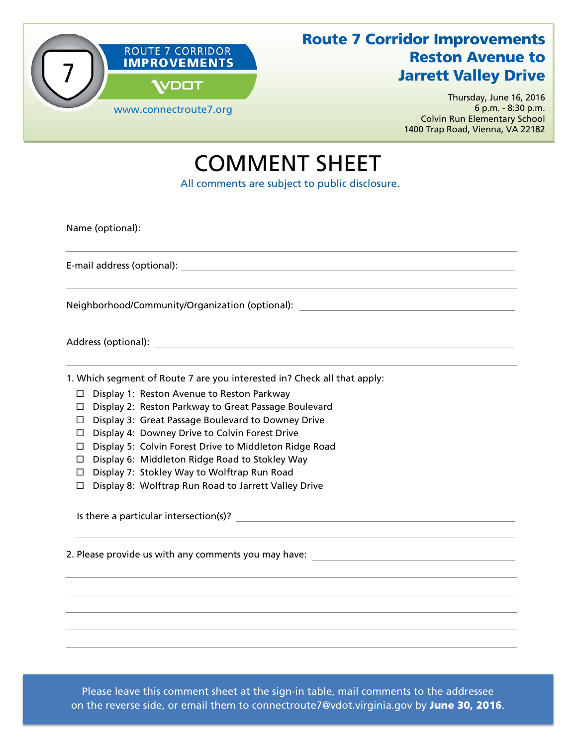

## Route 7 Corridor Improvements Reston Avenue to **Jarrett Valley Drive**

Thursday, June 16, 2016 6 p.m. - 8:30 p.m. Colvin Run Elementary School 1400 Trap Road, Vienna, VA 22182

## COMMENT SHEET

All comments are subject to public disclosure.

Name (optional):

E-mail address (optional):

Neighborhood/Community/Organization (optional):

Address (optional):

1. Which segment of Route 7 are you interested in? Check all that apply:

- □ Display 1: Reston Avenue to Reston Parkway
- □ Display 2: Reston Parkway to Great Passage Boulevard
- □ Display 3: Great Passage Boulevard to Downey Drive
- $\Box$  Display 4: Downey Drive to Colvin Forest Drive
- □ Display 5: Colvin Forest Drive to Middleton Ridge Road
- $\Box$  Display 6: Middleton Ridge Road to Stokley Way
- $\Box$  Display 7: Stokley Way to Wolftrap Run Road
- $\Box$  Display 8: Wolftrap Run Road to Jarrett Valley Drive

Is there a particular intersection(s)?

2. Please provide us with any comments you may have:

Please leave this comment sheet at the sign-in table, mail comments to the addressee on the reverse side, or email them to connectroute7@vdot.virginia.gov by June 30, 2016.